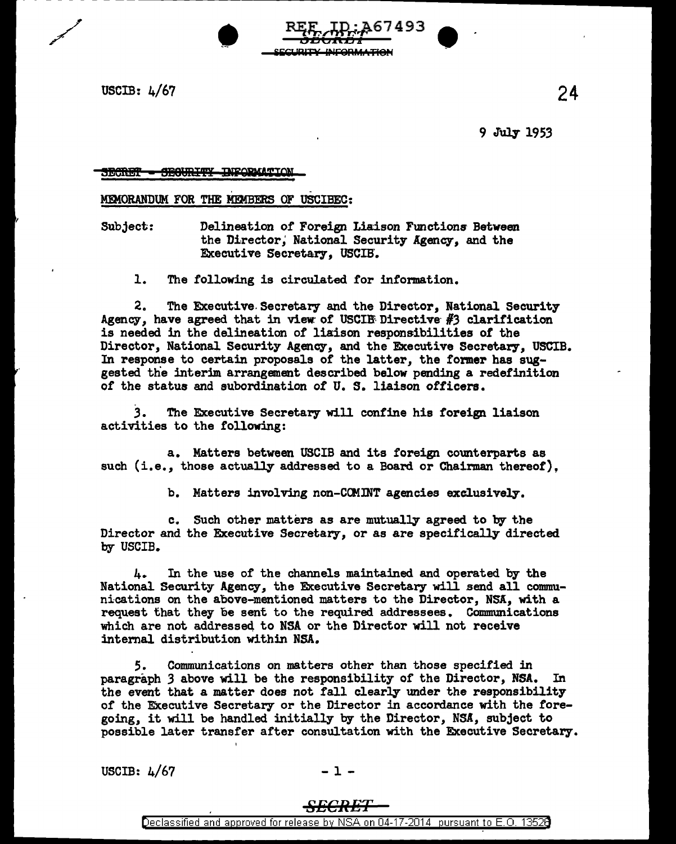USCIB: 4/67

9 July 1953

24

<del>SEGURITY INFORMATI</del>O  $\frac{1}{2}$ 

. - MEMORANDUM FOR THE MEMBERS OF USCIBEC:

Subject: Delineation of Foreign Liaison Functions Between the Director; National Security Agency, and the Executive Secretary, USCIB.

l. The following is circulated for information.

2. The Executive. Secretary and the Director, National Security Agency, have agreed that in view of USCIE Directive  $#3$  clarification is needed in the delineation of liaison responsibilities of the Director, National Security Agency, and the Executive Secretary, USCIB. In response to certain proposals of the latter, the former has suggested the interim arrangement described below pending a redefinition of the status and subordination of U. S. liaison officers •

REF ID: A67493

SECURITY INFORMATION

.3. The Executive Secretary will confine his foreign liaison activities to the following:

a. Matters between USCIB and its foreign comterparts as such (i.e., those actually addressed to a Board or Chairman thereof).

b. Matters involving non-COMINT agencies exclusively.

c. Such other matters as are mutually agreed to by the Director and the Executive Secretary, or as are specifically directed. by USCIB.

4. In the use of the channels maintained and operated by the National Security Agency, the Executive Secretary will send all communications on the above-mentioned matters to the Director, NSA, with a request that they be sent to the required addressees. Communications which are not addresseq to NSA or the Director will not receive internal distribution within NSA.

*5.* Communications on matters other than those specified in paragraph *3* above will be the responsibility of the Director, NSA. In the event that a matter does not fall clearly under the responsibility of the Executive Secretary or the Director in accordance with the foregoing, it will be handled initially by the Director, NSA, subject to possible later transfer after consultation with the Executive Secretary.

USCIB:  $\frac{1}{67}$  - 1 -

## *SECRE*

Declassified and approved for release by NSA on 04-17-2014 pursuant to E.O. 1352B